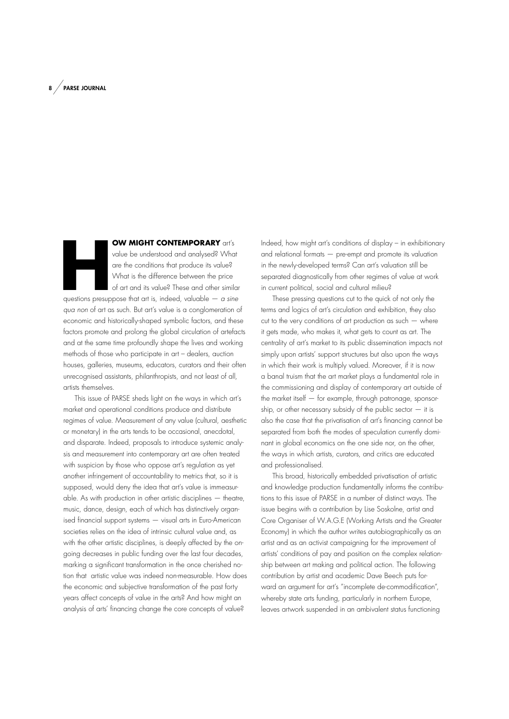**HOW MIGHT CONTEMPORARY** art's value be understood and analysed? What are the conditions that produce its value? What is the difference between the price of art and its value? These and other similar questions presuppose t value be understood and analysed? What are the conditions that produce its value? What is the difference between the price of art and its value? These and other similar *qua non* of art as such. But art's value is a conglomeration of

economic and historically-shaped symbolic factors, and these factors promote and prolong the global circulation of artefacts and at the same time profoundly shape the lives and working methods of those who participate in art – dealers, auction houses, galleries, museums, educators, curators and their often unrecognised assistants, philanthropists, and not least of all, artists themselves.

This issue of PARSE sheds light on the ways in which art's market and operational conditions produce and distribute regimes of value. Measurement of any value (cultural, aesthetic or monetary) in the arts tends to be occasional, anecdotal, and disparate. Indeed, proposals to introduce systemic analysis and measurement into contemporary art are often treated with suspicion by those who oppose art's regulation as yet another infringement of accountability to metrics that, so it is supposed, would deny the idea that art's value is immeasurable. As with production in other artistic disciplines — theatre, music, dance, design, each of which has distinctively organised fnancial support systems — visual arts in Euro-American societies relies on the idea of intrinsic cultural value and, as with the other artistic disciplines, is deeply affected by the ongoing decreases in public funding over the last four decades, marking a significant transformation in the once cherished notion that artistic value was indeed non-measurable. How does the economic and subjective transformation of the past forty years affect concepts of value in the arts? And how might an analysis of arts' fnancing change the core concepts of value?

Indeed, how might art's conditions of display – in exhibitionary and relational formats — pre-empt and promote its valuation in the newly-developed terms? Can art's valuation still be separated diagnostically from other regimes of value at work in current political, social and cultural milieu?

These pressing questions cut to the quick of not only the terms and logics of art's circulation and exhibition, they also cut to the very conditions of art production as such  $-$  where it gets made, who makes it, what gets to count as art. The centrality of art's market to its public dissemination impacts not simply upon artists' support structures but also upon the ways in which their work is multiply valued. Moreover, if it is now a banal truism that the art market plays a fundamental role in the commissioning and display of contemporary art outside of the market itself  $-$  for example, through patronage, sponsorship, or other necessary subsidy of the public sector  $-$  it is also the case that the privatisation of art's fnancing cannot be separated from both the modes of speculation currently dominant in global economics on the one side nor, on the other, the ways in which artists, curators, and critics are educated and professionalised.

This broad, historically embedded privatisation of artistic and knowledge production fundamentally informs the contributions to this issue of PARSE in a number of distinct ways. The issue begins with a contribution by Lise Soskolne, artist and Core Organiser of W.A.G.E (Working Artists and the Greater Economy) in which the author writes autobiographically as an artist and as an activist campaigning for the improvement of artists' conditions of pay and position on the complex relationship between art making and political action. The following contribution by artist and academic Dave Beech puts forward an argument for art's "incomplete de-commodification", whereby state arts funding, particularly in northern Europe, leaves artwork suspended in an ambivalent status functioning